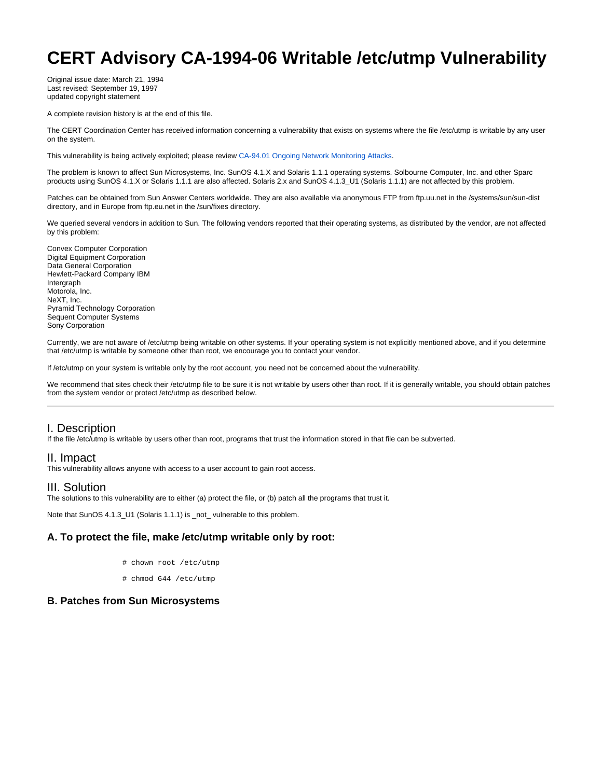# **CERT Advisory CA-1994-06 Writable /etc/utmp Vulnerability**

Original issue date: March 21, 1994 Last revised: September 19, 1997 updated copyright statement

A complete revision history is at the end of this file.

The CERT Coordination Center has received information concerning a vulnerability that exists on systems where the file /etc/utmp is writable by any user on the system.

This vulnerability is being actively exploited; please review [CA-94.01 Ongoing Network Monitoring Attacks.](http://www.cert.org/advisories/CA-94.01.ongoing.network.monitoring.attacks.html)

The problem is known to affect Sun Microsystems, Inc. SunOS 4.1.X and Solaris 1.1.1 operating systems. Solbourne Computer, Inc. and other Sparc products using SunOS 4.1.X or Solaris 1.1.1 are also affected. Solaris 2.x and SunOS 4.1.3\_U1 (Solaris 1.1.1) are not affected by this problem.

Patches can be obtained from Sun Answer Centers worldwide. They are also available via anonymous FTP from ftp.uu.net in the /systems/sun/sun-dist directory, and in Europe from ftp.eu.net in the /sun/fixes directory.

We queried several vendors in addition to Sun. The following vendors reported that their operating systems, as distributed by the vendor, are not affected by this problem:

Convex Computer Corporation Digital Equipment Corporation Data General Corporation Hewlett-Packard Company IBM Intergraph Motorola, Inc. NeXT, Inc. Pyramid Technology Corporation Sequent Computer Systems Sony Corporation

Currently, we are not aware of /etc/utmp being writable on other systems. If your operating system is not explicitly mentioned above, and if you determine that /etc/utmp is writable by someone other than root, we encourage you to contact your vendor.

If /etc/utmp on your system is writable only by the root account, you need not be concerned about the vulnerability.

We recommend that sites check their /etc/utmp file to be sure it is not writable by users other than root. If it is generally writable, you should obtain patches from the system vendor or protect /etc/utmp as described below.

## I. Description

If the file /etc/utmp is writable by users other than root, programs that trust the information stored in that file can be subverted.

### II. Impact

This vulnerability allows anyone with access to a user account to gain root access.

### III. Solution

The solutions to this vulnerability are to either (a) protect the file, or (b) patch all the programs that trust it.

Note that SunOS 4.1.3\_U1 (Solaris 1.1.1) is \_not\_ vulnerable to this problem.

## **A. To protect the file, make /etc/utmp writable only by root:**

- # chown root /etc/utmp
- # chmod 644 /etc/utmp

#### **B. Patches from Sun Microsystems**